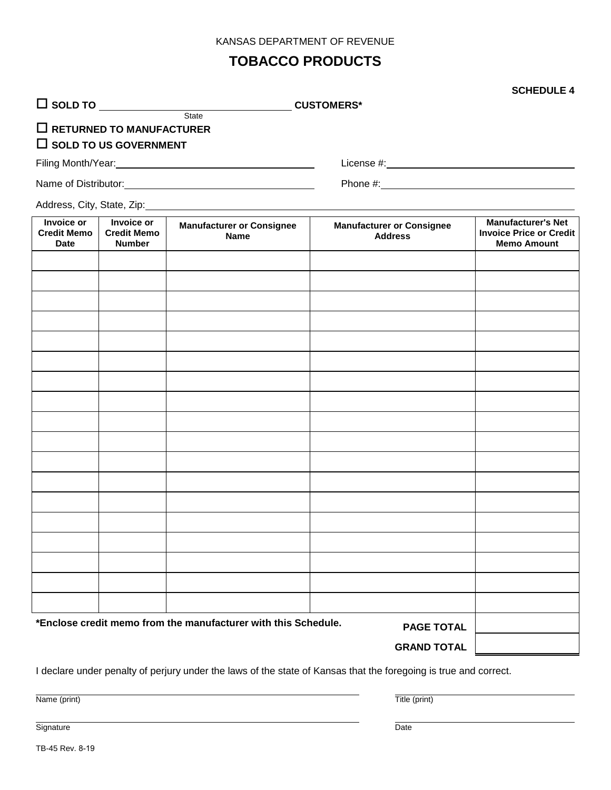#### KANSAS DEPARTMENT OF REVENUE

### **TOBACCO PRODUCTS**

#### TB-45 Rev. 8-19

 **RETURNED TO MANUFACTURER SOLD TO US GOVERNMENT**

State

Address, City, State, Zip:<br>
Management of the City of Address, City, State, Zip:

**SOLD TO CUSTOMERS\***

### **SCHEDULE 4**

Filing Month/Year: <u>License #:</u> License #: License #: License #: License #: License #: License #: License **#**: License **#**: License **#**: License **#**: License **#**: License **#**: License **#**: License **#**: License **#**: License

Name of Distributor: Phone #:

| <b>Invoice or</b><br><b>Credit Memo</b><br><b>Date</b>                              | Invoice or<br><b>Credit Memo</b><br><b>Number</b> | <b>Manufacturer or Consignee</b><br><b>Name</b> | <b>Manufacturer or Consignee</b><br><b>Address</b> | <b>Manufacturer's Net</b><br><b>Invoice Price or Credit</b><br><b>Memo Amount</b> |
|-------------------------------------------------------------------------------------|---------------------------------------------------|-------------------------------------------------|----------------------------------------------------|-----------------------------------------------------------------------------------|
|                                                                                     |                                                   |                                                 |                                                    |                                                                                   |
|                                                                                     |                                                   |                                                 |                                                    |                                                                                   |
|                                                                                     |                                                   |                                                 |                                                    |                                                                                   |
|                                                                                     |                                                   |                                                 |                                                    |                                                                                   |
|                                                                                     |                                                   |                                                 |                                                    |                                                                                   |
|                                                                                     |                                                   |                                                 |                                                    |                                                                                   |
|                                                                                     |                                                   |                                                 |                                                    |                                                                                   |
|                                                                                     |                                                   |                                                 |                                                    |                                                                                   |
|                                                                                     |                                                   |                                                 |                                                    |                                                                                   |
|                                                                                     |                                                   |                                                 |                                                    |                                                                                   |
|                                                                                     |                                                   |                                                 |                                                    |                                                                                   |
|                                                                                     |                                                   |                                                 |                                                    |                                                                                   |
|                                                                                     |                                                   |                                                 |                                                    |                                                                                   |
|                                                                                     |                                                   |                                                 |                                                    |                                                                                   |
|                                                                                     |                                                   |                                                 |                                                    |                                                                                   |
|                                                                                     |                                                   |                                                 |                                                    |                                                                                   |
|                                                                                     |                                                   |                                                 |                                                    |                                                                                   |
|                                                                                     |                                                   |                                                 |                                                    |                                                                                   |
| *Enclose credit memo from the manufacturer with this Schedule.<br><b>PAGE TOTAL</b> |                                                   |                                                 |                                                    |                                                                                   |
|                                                                                     |                                                   |                                                 | <b>GRAND TOTAL</b>                                 |                                                                                   |

I declare under penalty of perjury under the laws of the state of Kansas that the foregoing is true and correct.

Name (print) Title (print)

Signature **Date**